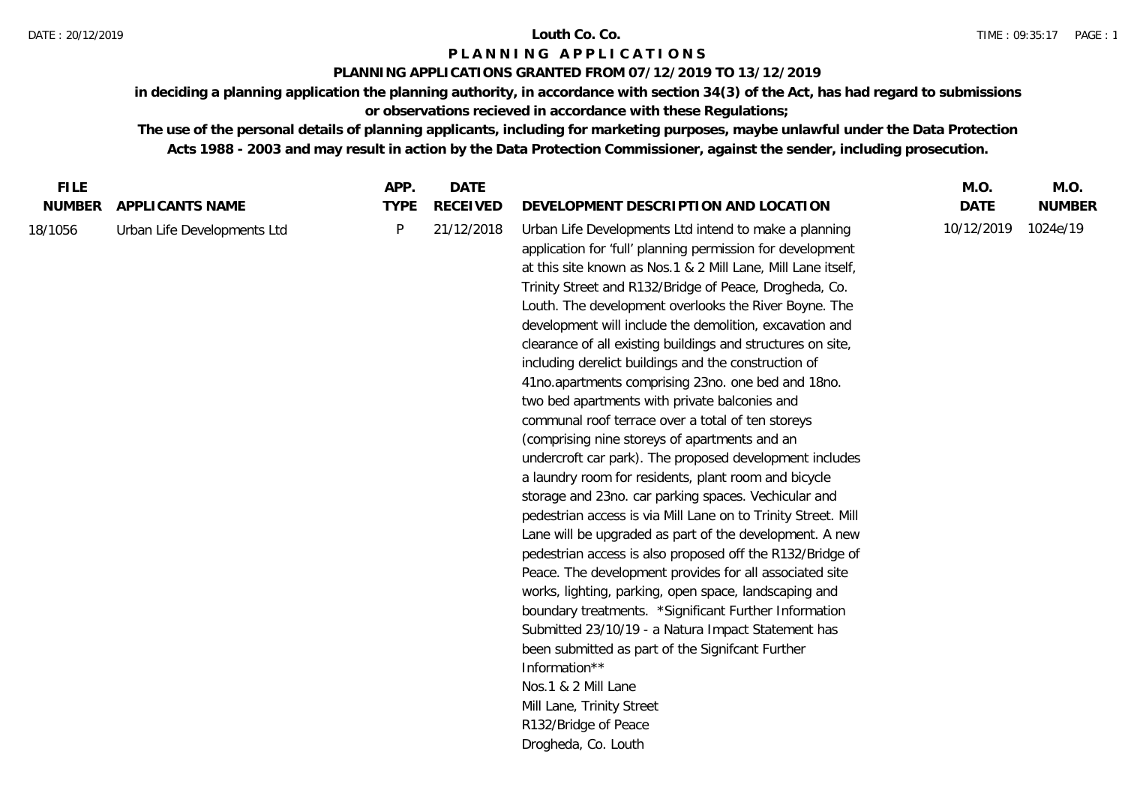## **PLANNING APPLICATIONS GRANTED FROM 07/12/2019 TO 13/12/2019**

**in deciding a planning application the planning authority, in accordance with section 34(3) of the Act, has had regard to submissions or observations recieved in accordance with these Regulations;**

| <b>FILE</b>              |                                                | APP.             | <b>DATE</b>                   |                                                                                                                                                                                                                                                                                                                                                                                                                                                                                                                                                                                                                                                                                                                                                                                                                                                                                                                                                                                                                                                                                                                                                                                                                                                                                                                                                                                                                                                                                                                              | M.O.                      | M.O.                      |
|--------------------------|------------------------------------------------|------------------|-------------------------------|------------------------------------------------------------------------------------------------------------------------------------------------------------------------------------------------------------------------------------------------------------------------------------------------------------------------------------------------------------------------------------------------------------------------------------------------------------------------------------------------------------------------------------------------------------------------------------------------------------------------------------------------------------------------------------------------------------------------------------------------------------------------------------------------------------------------------------------------------------------------------------------------------------------------------------------------------------------------------------------------------------------------------------------------------------------------------------------------------------------------------------------------------------------------------------------------------------------------------------------------------------------------------------------------------------------------------------------------------------------------------------------------------------------------------------------------------------------------------------------------------------------------------|---------------------------|---------------------------|
| <b>NUMBER</b><br>18/1056 | APPLICANTS NAME<br>Urban Life Developments Ltd | <b>TYPE</b><br>P | <b>RECEIVED</b><br>21/12/2018 | DEVELOPMENT DESCRIPTION AND LOCATION<br>Urban Life Developments Ltd intend to make a planning<br>application for 'full' planning permission for development<br>at this site known as Nos.1 & 2 Mill Lane, Mill Lane itself,<br>Trinity Street and R132/Bridge of Peace, Drogheda, Co.<br>Louth. The development overlooks the River Boyne. The<br>development will include the demolition, excavation and<br>clearance of all existing buildings and structures on site,<br>including derelict buildings and the construction of<br>41no.apartments comprising 23no. one bed and 18no.<br>two bed apartments with private balconies and<br>communal roof terrace over a total of ten storeys<br>(comprising nine storeys of apartments and an<br>undercroft car park). The proposed development includes<br>a laundry room for residents, plant room and bicycle<br>storage and 23no. car parking spaces. Vechicular and<br>pedestrian access is via Mill Lane on to Trinity Street. Mill<br>Lane will be upgraded as part of the development. A new<br>pedestrian access is also proposed off the R132/Bridge of<br>Peace. The development provides for all associated site<br>works, lighting, parking, open space, landscaping and<br>boundary treatments. *Significant Further Information<br>Submitted 23/10/19 - a Natura Impact Statement has<br>been submitted as part of the Signifcant Further<br>Information**<br>Nos.1 & 2 Mill Lane<br>Mill Lane, Trinity Street<br>R132/Bridge of Peace<br>Drogheda, Co. Louth | <b>DATE</b><br>10/12/2019 | <b>NUMBER</b><br>1024e/19 |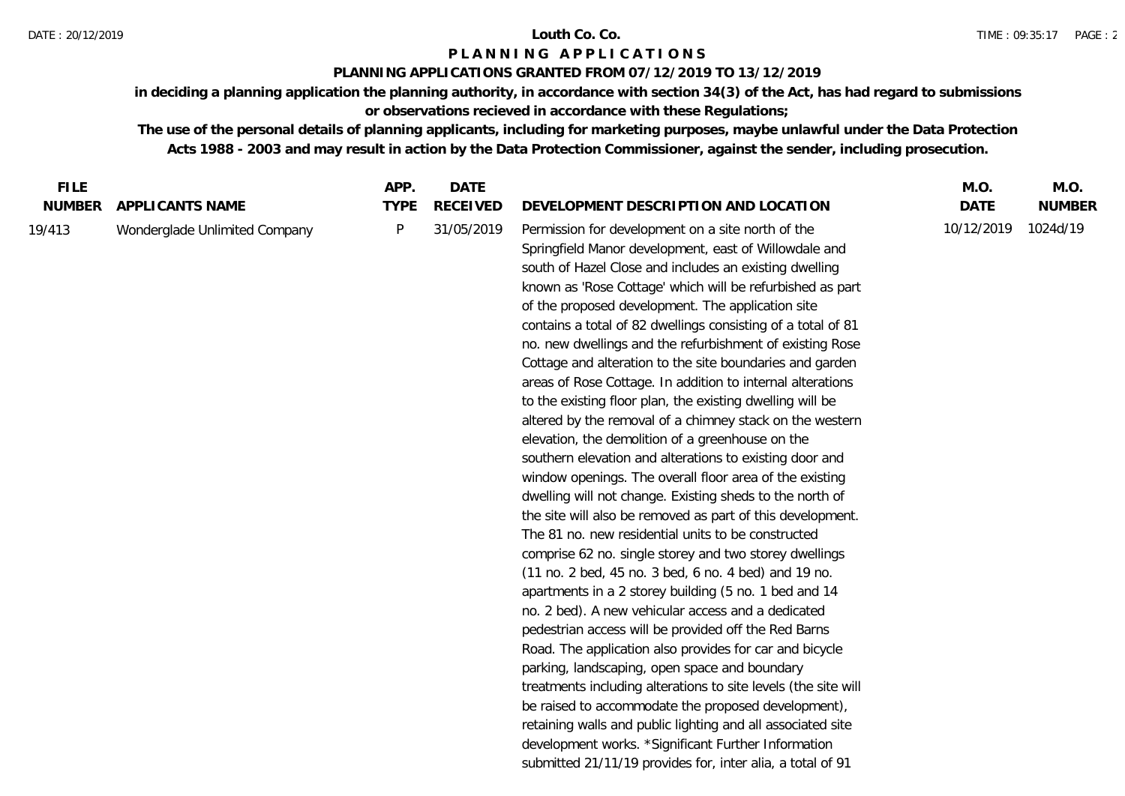### **PLANNING APPLICATIONS GRANTED FROM 07/12/2019 TO 13/12/2019**

**in deciding a planning application the planning authority, in accordance with section 34(3) of the Act, has had regard to submissions or observations recieved in accordance with these Regulations;**

| <b>FILE</b>   |                               | APP.        | <b>DATE</b>     |                                                                                                                                                                                                                                                                                                                                                                                                                                                                                                                                                                                                                                                                                                                                                                                                                                                                                                                                                                                                                                                                                                                                                                                                                                                                                                                                                                                                                                                                                                                                                                                                                                                                                                                                                   | M.O.        | M.O.          |
|---------------|-------------------------------|-------------|-----------------|---------------------------------------------------------------------------------------------------------------------------------------------------------------------------------------------------------------------------------------------------------------------------------------------------------------------------------------------------------------------------------------------------------------------------------------------------------------------------------------------------------------------------------------------------------------------------------------------------------------------------------------------------------------------------------------------------------------------------------------------------------------------------------------------------------------------------------------------------------------------------------------------------------------------------------------------------------------------------------------------------------------------------------------------------------------------------------------------------------------------------------------------------------------------------------------------------------------------------------------------------------------------------------------------------------------------------------------------------------------------------------------------------------------------------------------------------------------------------------------------------------------------------------------------------------------------------------------------------------------------------------------------------------------------------------------------------------------------------------------------------|-------------|---------------|
| <b>NUMBER</b> | APPLICANTS NAME               | <b>TYPE</b> | <b>RECEIVED</b> | DEVELOPMENT DESCRIPTION AND LOCATION                                                                                                                                                                                                                                                                                                                                                                                                                                                                                                                                                                                                                                                                                                                                                                                                                                                                                                                                                                                                                                                                                                                                                                                                                                                                                                                                                                                                                                                                                                                                                                                                                                                                                                              | <b>DATE</b> | <b>NUMBER</b> |
| 19/413        | Wonderglade Unlimited Company | P           | 31/05/2019      | Permission for development on a site north of the<br>Springfield Manor development, east of Willowdale and<br>south of Hazel Close and includes an existing dwelling<br>known as 'Rose Cottage' which will be refurbished as part<br>of the proposed development. The application site<br>contains a total of 82 dwellings consisting of a total of 81<br>no. new dwellings and the refurbishment of existing Rose<br>Cottage and alteration to the site boundaries and garden<br>areas of Rose Cottage. In addition to internal alterations<br>to the existing floor plan, the existing dwelling will be<br>altered by the removal of a chimney stack on the western<br>elevation, the demolition of a greenhouse on the<br>southern elevation and alterations to existing door and<br>window openings. The overall floor area of the existing<br>dwelling will not change. Existing sheds to the north of<br>the site will also be removed as part of this development.<br>The 81 no. new residential units to be constructed<br>comprise 62 no. single storey and two storey dwellings<br>(11 no. 2 bed, 45 no. 3 bed, 6 no. 4 bed) and 19 no.<br>apartments in a 2 storey building (5 no. 1 bed and 14<br>no. 2 bed). A new vehicular access and a dedicated<br>pedestrian access will be provided off the Red Barns<br>Road. The application also provides for car and bicycle<br>parking, landscaping, open space and boundary<br>treatments including alterations to site levels (the site will<br>be raised to accommodate the proposed development),<br>retaining walls and public lighting and all associated site<br>development works. *Significant Further Information<br>submitted 21/11/19 provides for, inter alia, a total of 91 | 10/12/2019  | 1024d/19      |
|               |                               |             |                 |                                                                                                                                                                                                                                                                                                                                                                                                                                                                                                                                                                                                                                                                                                                                                                                                                                                                                                                                                                                                                                                                                                                                                                                                                                                                                                                                                                                                                                                                                                                                                                                                                                                                                                                                                   |             |               |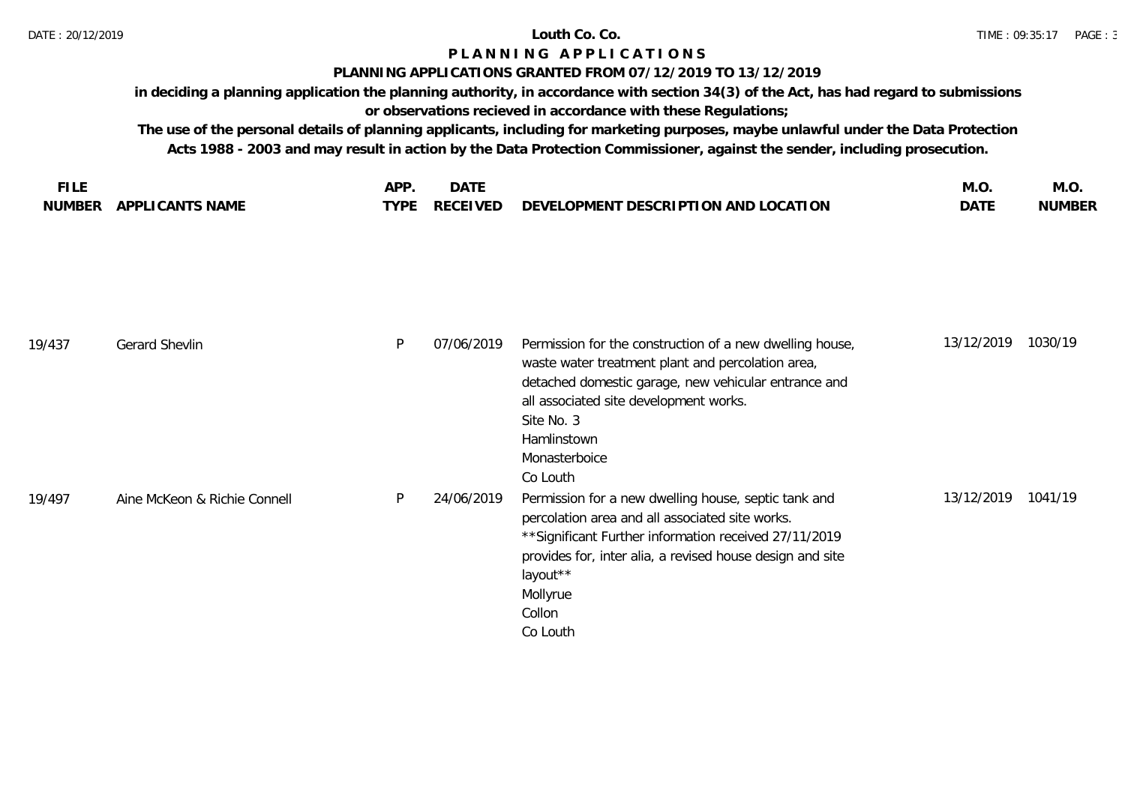## **PLANNING APPLICATIONS GRANTED FROM 07/12/2019 TO 13/12/2019**

**in deciding a planning application the planning authority, in accordance with section 34(3) of the Act, has had regard to submissions or observations recieved in accordance with these Regulations;**

|                                  | APF<br>– DA i ∟                                                                                 | M.O  | IVI.U         |
|----------------------------------|-------------------------------------------------------------------------------------------------|------|---------------|
| <b>APPLICANTS NAME</b><br>NUMBER | <b>RECEIVED</b><br><b>'_OPMENT DESCRIPTION AND LO</b><br>LOCATION<br>DEVE <sub>1</sub><br>TYPF. | DAT' | <b>NUMBER</b> |

| 19/437 | Gerard Shevlin               | P | 07/06/2019 | Permission for the construction of a new dwelling house,<br>waste water treatment plant and percolation area,<br>detached domestic garage, new vehicular entrance and<br>all associated site development works.<br>Site No. 3<br>Hamlinstown<br>Monasterboice<br>Co Louth    | 13/12/2019 | 1030/19 |
|--------|------------------------------|---|------------|------------------------------------------------------------------------------------------------------------------------------------------------------------------------------------------------------------------------------------------------------------------------------|------------|---------|
| 19/497 | Aine McKeon & Richie Connell | P | 24/06/2019 | Permission for a new dwelling house, septic tank and<br>percolation area and all associated site works.<br>** Significant Further information received 27/11/2019<br>provides for, inter alia, a revised house design and site<br>layout**<br>Mollyrue<br>Collon<br>Co Louth | 13/12/2019 | 1041/19 |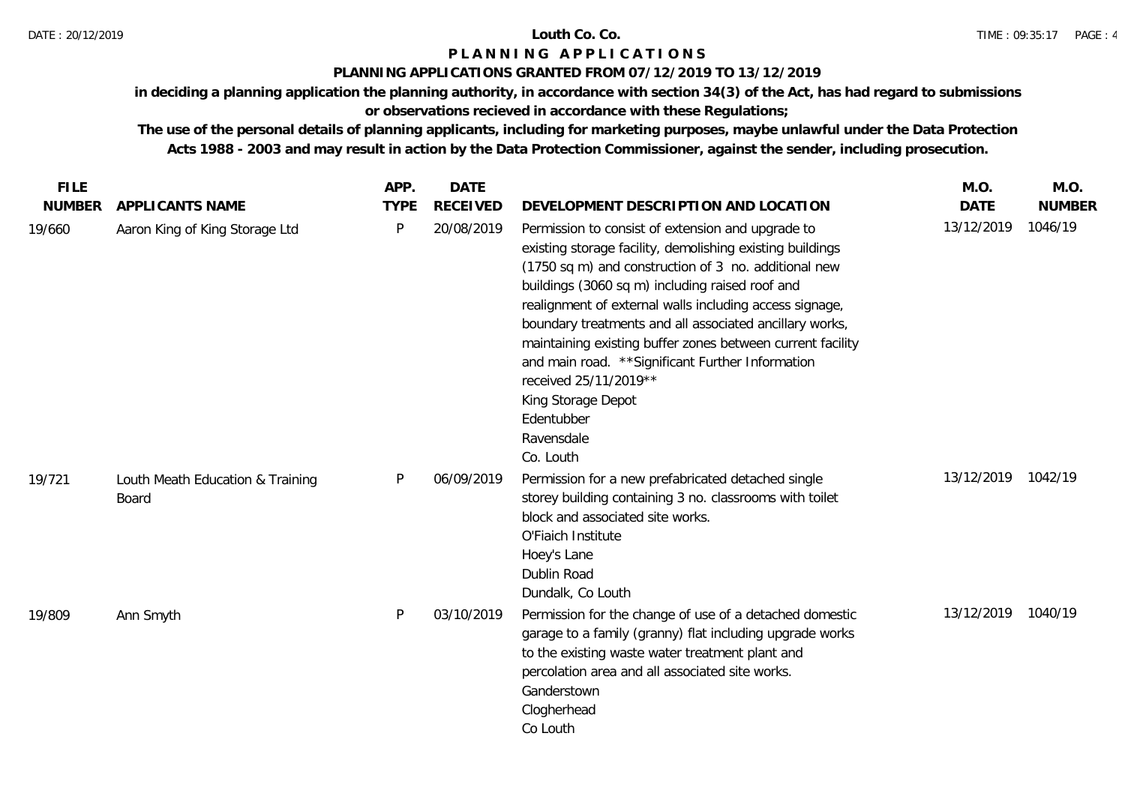### **PLANNING APPLICATIONS GRANTED FROM 07/12/2019 TO 13/12/2019**

**in deciding a planning application the planning authority, in accordance with section 34(3) of the Act, has had regard to submissions** 

**or observations recieved in accordance with these Regulations;**

| <b>FILE</b>   |                                           | APP.         | <b>DATE</b>     |                                                                                                                                                                                                                                                                                                                                                                                                                                                                                                                                                            | M.O.               | M.O.          |
|---------------|-------------------------------------------|--------------|-----------------|------------------------------------------------------------------------------------------------------------------------------------------------------------------------------------------------------------------------------------------------------------------------------------------------------------------------------------------------------------------------------------------------------------------------------------------------------------------------------------------------------------------------------------------------------------|--------------------|---------------|
| <b>NUMBER</b> | APPLICANTS NAME                           | <b>TYPE</b>  | <b>RECEIVED</b> | DEVELOPMENT DESCRIPTION AND LOCATION                                                                                                                                                                                                                                                                                                                                                                                                                                                                                                                       | <b>DATE</b>        | <b>NUMBER</b> |
| 19/660        | Aaron King of King Storage Ltd            | $\mathsf{P}$ | 20/08/2019      | Permission to consist of extension and upgrade to<br>existing storage facility, demolishing existing buildings<br>(1750 sq m) and construction of 3 no. additional new<br>buildings (3060 sq m) including raised roof and<br>realignment of external walls including access signage,<br>boundary treatments and all associated ancillary works,<br>maintaining existing buffer zones between current facility<br>and main road. ** Significant Further Information<br>received 25/11/2019**<br>King Storage Depot<br>Edentubber<br>Ravensdale<br>Co. Louth | 13/12/2019         | 1046/19       |
| 19/721        | Louth Meath Education & Training<br>Board | P            | 06/09/2019      | Permission for a new prefabricated detached single<br>storey building containing 3 no. classrooms with toilet<br>block and associated site works.<br>O'Fiaich Institute<br>Hoey's Lane<br>Dublin Road<br>Dundalk, Co Louth                                                                                                                                                                                                                                                                                                                                 | 13/12/2019 1042/19 |               |
| 19/809        | Ann Smyth                                 | P            | 03/10/2019      | Permission for the change of use of a detached domestic<br>garage to a family (granny) flat including upgrade works<br>to the existing waste water treatment plant and<br>percolation area and all associated site works.<br>Ganderstown<br>Clogherhead<br>Co Louth                                                                                                                                                                                                                                                                                        | 13/12/2019         | 1040/19       |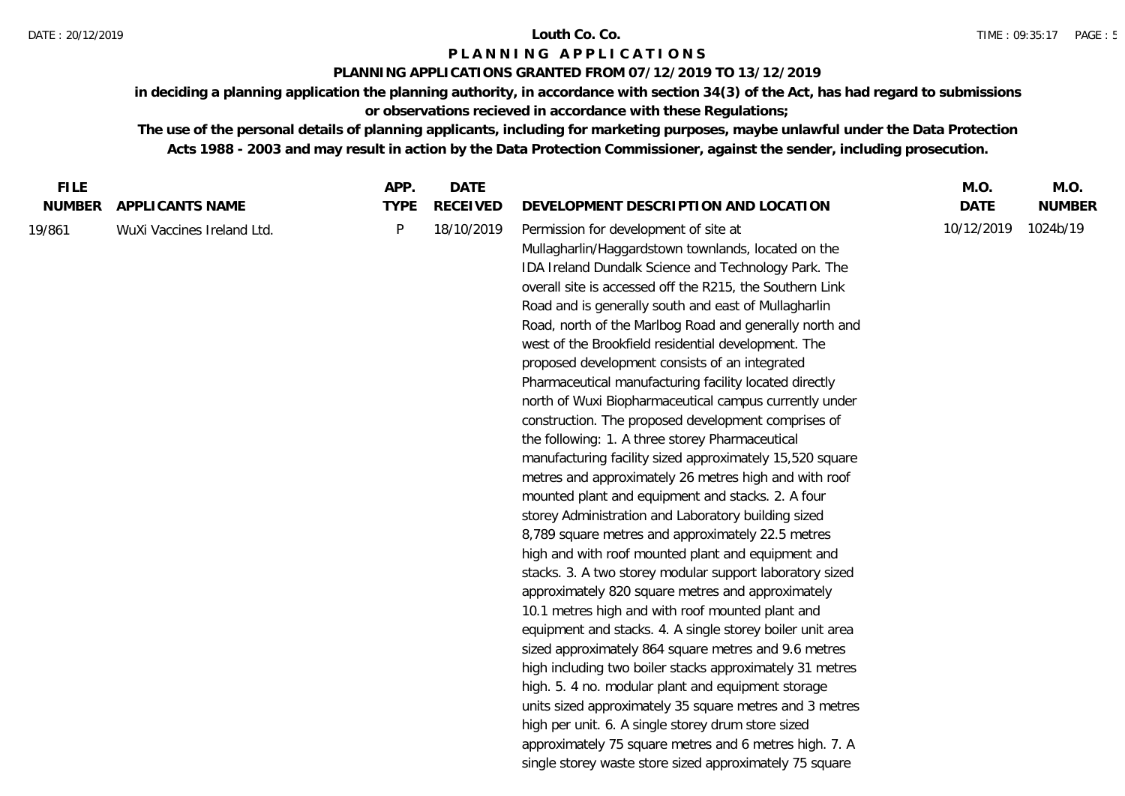### **PLANNING APPLICATIONS GRANTED FROM 07/12/2019 TO 13/12/2019**

**in deciding a planning application the planning authority, in accordance with section 34(3) of the Act, has had regard to submissions or observations recieved in accordance with these Regulations;**

| <b>FILE</b>   |                            | APP.        | <b>DATE</b>     |                                                                                                                                                                                                                                                                                                                                                                                                                                                                                                                                                                                                                                                                                                                                                                                                                                                                                                                                                                                                                                                                                                                                                                                                                                                                                                                                                                                                                                                                                                                                                                                                                                                                          | M.O.        | M.O.          |
|---------------|----------------------------|-------------|-----------------|--------------------------------------------------------------------------------------------------------------------------------------------------------------------------------------------------------------------------------------------------------------------------------------------------------------------------------------------------------------------------------------------------------------------------------------------------------------------------------------------------------------------------------------------------------------------------------------------------------------------------------------------------------------------------------------------------------------------------------------------------------------------------------------------------------------------------------------------------------------------------------------------------------------------------------------------------------------------------------------------------------------------------------------------------------------------------------------------------------------------------------------------------------------------------------------------------------------------------------------------------------------------------------------------------------------------------------------------------------------------------------------------------------------------------------------------------------------------------------------------------------------------------------------------------------------------------------------------------------------------------------------------------------------------------|-------------|---------------|
| <b>NUMBER</b> | APPLICANTS NAME            | <b>TYPE</b> | <b>RECEIVED</b> | DEVELOPMENT DESCRIPTION AND LOCATION                                                                                                                                                                                                                                                                                                                                                                                                                                                                                                                                                                                                                                                                                                                                                                                                                                                                                                                                                                                                                                                                                                                                                                                                                                                                                                                                                                                                                                                                                                                                                                                                                                     | <b>DATE</b> | <b>NUMBER</b> |
| 19/861        | WuXi Vaccines Ireland Ltd. | P           | 18/10/2019      | Permission for development of site at<br>Mullagharlin/Haggardstown townlands, located on the<br>IDA Ireland Dundalk Science and Technology Park. The<br>overall site is accessed off the R215, the Southern Link<br>Road and is generally south and east of Mullagharlin<br>Road, north of the Marlbog Road and generally north and<br>west of the Brookfield residential development. The<br>proposed development consists of an integrated<br>Pharmaceutical manufacturing facility located directly<br>north of Wuxi Biopharmaceutical campus currently under<br>construction. The proposed development comprises of<br>the following: 1. A three storey Pharmaceutical<br>manufacturing facility sized approximately 15,520 square<br>metres and approximately 26 metres high and with roof<br>mounted plant and equipment and stacks. 2. A four<br>storey Administration and Laboratory building sized<br>8,789 square metres and approximately 22.5 metres<br>high and with roof mounted plant and equipment and<br>stacks. 3. A two storey modular support laboratory sized<br>approximately 820 square metres and approximately<br>10.1 metres high and with roof mounted plant and<br>equipment and stacks. 4. A single storey boiler unit area<br>sized approximately 864 square metres and 9.6 metres<br>high including two boiler stacks approximately 31 metres<br>high. 5. 4 no. modular plant and equipment storage<br>units sized approximately 35 square metres and 3 metres<br>high per unit. 6. A single storey drum store sized<br>approximately 75 square metres and 6 metres high. 7. A<br>single storey waste store sized approximately 75 square | 10/12/2019  | 1024b/19      |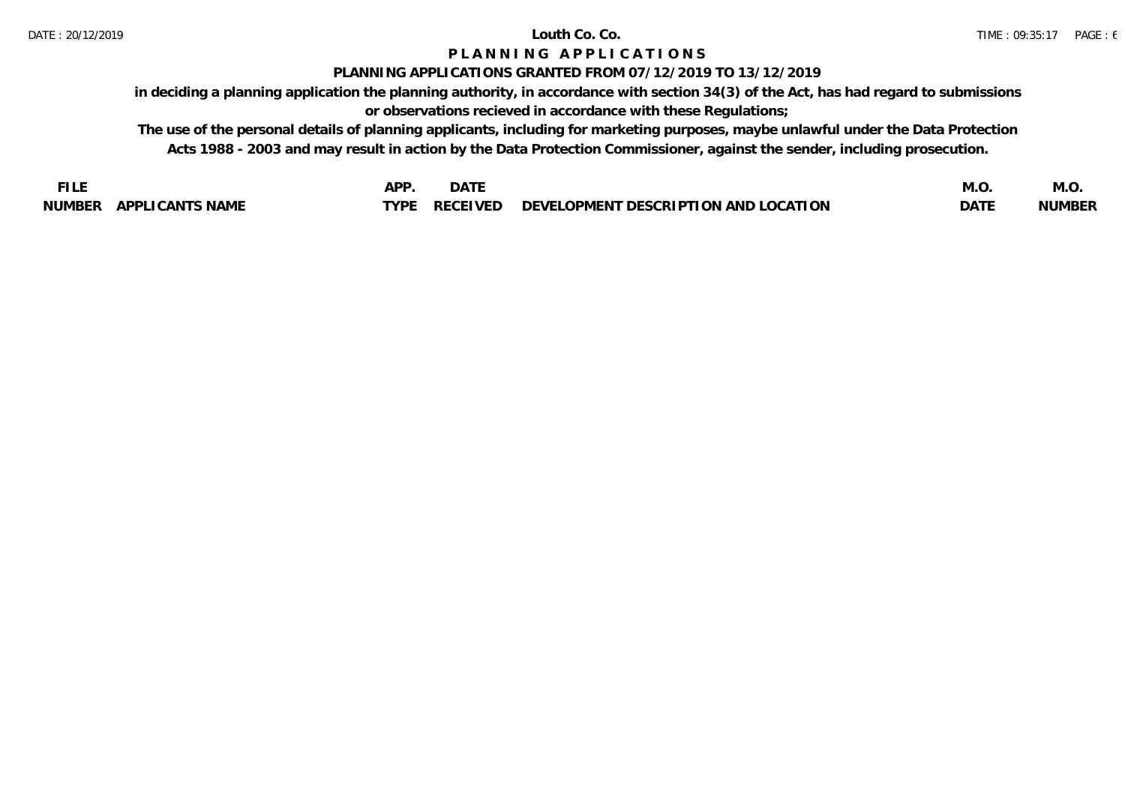### **PLANNING APPLICATIONS GRANTED FROM 07/12/2019 TO 13/12/2019**

**in deciding a planning application the planning authority, in accordance with section 34(3) of the Act, has had regard to submissions or observations recieved in accordance with these Regulations;**

| <b>FILE</b>            | $\Delta$ PP | DATE     |                                      | M.U  | M.C           |
|------------------------|-------------|----------|--------------------------------------|------|---------------|
| NUMBER APPLICANTS NAME | TVDF.       | RECEIVED | DEVELOPMENT DESCRIPTION AND LOCATION | DATE | <b>NUMBER</b> |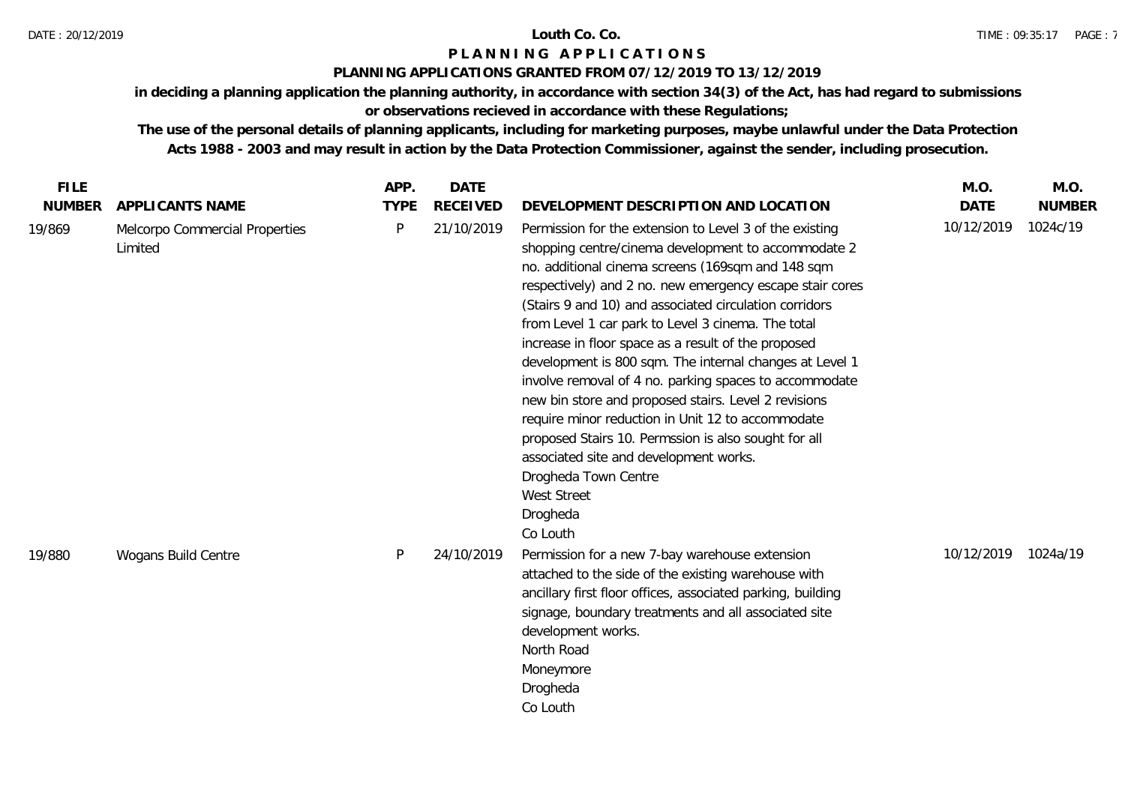## **PLANNING APPLICATIONS GRANTED FROM 07/12/2019 TO 13/12/2019**

**in deciding a planning application the planning authority, in accordance with section 34(3) of the Act, has had regard to submissions or observations recieved in accordance with these Regulations;**

| <b>FILE</b>   |                                           | APP.        | <b>DATE</b>     |                                                                                                                                                                                                                                                                                                                                                                                                                                                                                                                                                                                                                                                                                                                                                                                                           | M.O.        | M.O.          |
|---------------|-------------------------------------------|-------------|-----------------|-----------------------------------------------------------------------------------------------------------------------------------------------------------------------------------------------------------------------------------------------------------------------------------------------------------------------------------------------------------------------------------------------------------------------------------------------------------------------------------------------------------------------------------------------------------------------------------------------------------------------------------------------------------------------------------------------------------------------------------------------------------------------------------------------------------|-------------|---------------|
| <b>NUMBER</b> | APPLICANTS NAME                           | <b>TYPE</b> | <b>RECEIVED</b> | DEVELOPMENT DESCRIPTION AND LOCATION                                                                                                                                                                                                                                                                                                                                                                                                                                                                                                                                                                                                                                                                                                                                                                      | <b>DATE</b> | <b>NUMBER</b> |
| 19/869        | Melcorpo Commercial Properties<br>Limited | P           | 21/10/2019      | Permission for the extension to Level 3 of the existing<br>shopping centre/cinema development to accommodate 2<br>no. additional cinema screens (169sqm and 148 sqm<br>respectively) and 2 no. new emergency escape stair cores<br>(Stairs 9 and 10) and associated circulation corridors<br>from Level 1 car park to Level 3 cinema. The total<br>increase in floor space as a result of the proposed<br>development is 800 sqm. The internal changes at Level 1<br>involve removal of 4 no. parking spaces to accommodate<br>new bin store and proposed stairs. Level 2 revisions<br>require minor reduction in Unit 12 to accommodate<br>proposed Stairs 10. Permssion is also sought for all<br>associated site and development works.<br>Drogheda Town Centre<br>West Street<br>Drogheda<br>Co Louth | 10/12/2019  | 1024c/19      |
| 19/880        | Wogans Build Centre                       | P           | 24/10/2019      | Permission for a new 7-bay warehouse extension<br>attached to the side of the existing warehouse with<br>ancillary first floor offices, associated parking, building<br>signage, boundary treatments and all associated site<br>development works.<br>North Road<br>Moneymore<br>Drogheda<br>Co Louth                                                                                                                                                                                                                                                                                                                                                                                                                                                                                                     | 10/12/2019  | 1024a/19      |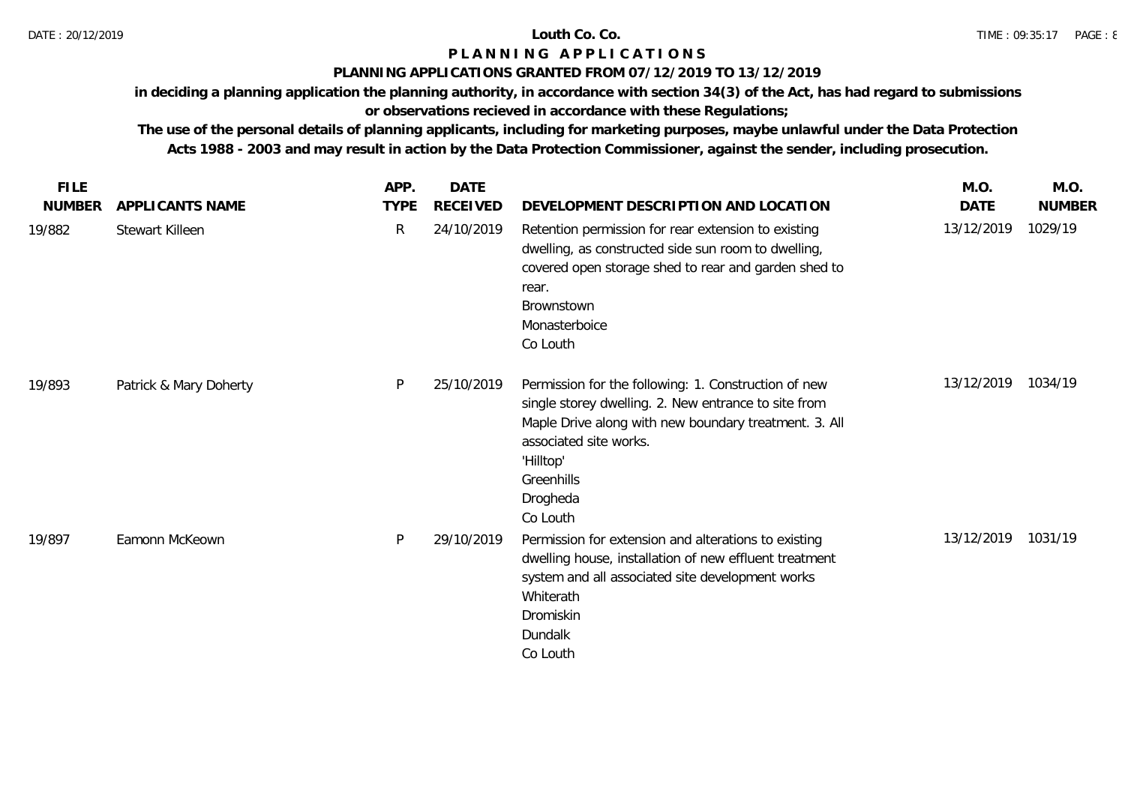## **PLANNING APPLICATIONS GRANTED FROM 07/12/2019 TO 13/12/2019**

**in deciding a planning application the planning authority, in accordance with section 34(3) of the Act, has had regard to submissions** 

# **or observations recieved in accordance with these Regulations;**

| <b>FILE</b>   |                        | APP.         | <b>DATE</b> |                                                                                                                                                                                                                                                    | M.O.       | M.O.          |
|---------------|------------------------|--------------|-------------|----------------------------------------------------------------------------------------------------------------------------------------------------------------------------------------------------------------------------------------------------|------------|---------------|
| <b>NUMBER</b> | APPLICANTS NAME        | <b>TYPE</b>  | RECEIVED    | DEVELOPMENT DESCRIPTION AND LOCATION                                                                                                                                                                                                               | DATE       | <b>NUMBER</b> |
| 19/882        | Stewart Killeen        | $\mathsf{R}$ | 24/10/2019  | Retention permission for rear extension to existing<br>dwelling, as constructed side sun room to dwelling,<br>covered open storage shed to rear and garden shed to<br>rear.<br>Brownstown<br>Monasterboice<br>Co Louth                             | 13/12/2019 | 1029/19       |
| 19/893        | Patrick & Mary Doherty | P            | 25/10/2019  | Permission for the following: 1. Construction of new<br>single storey dwelling. 2. New entrance to site from<br>Maple Drive along with new boundary treatment. 3. All<br>associated site works.<br>'Hilltop'<br>Greenhills<br>Drogheda<br>Co Louth | 13/12/2019 | 1034/19       |
| 19/897        | Eamonn McKeown         | P            | 29/10/2019  | Permission for extension and alterations to existing<br>dwelling house, installation of new effluent treatment<br>system and all associated site development works<br>Whiterath<br>Dromiskin<br>Dundalk<br>Co Louth                                | 13/12/2019 | 1031/19       |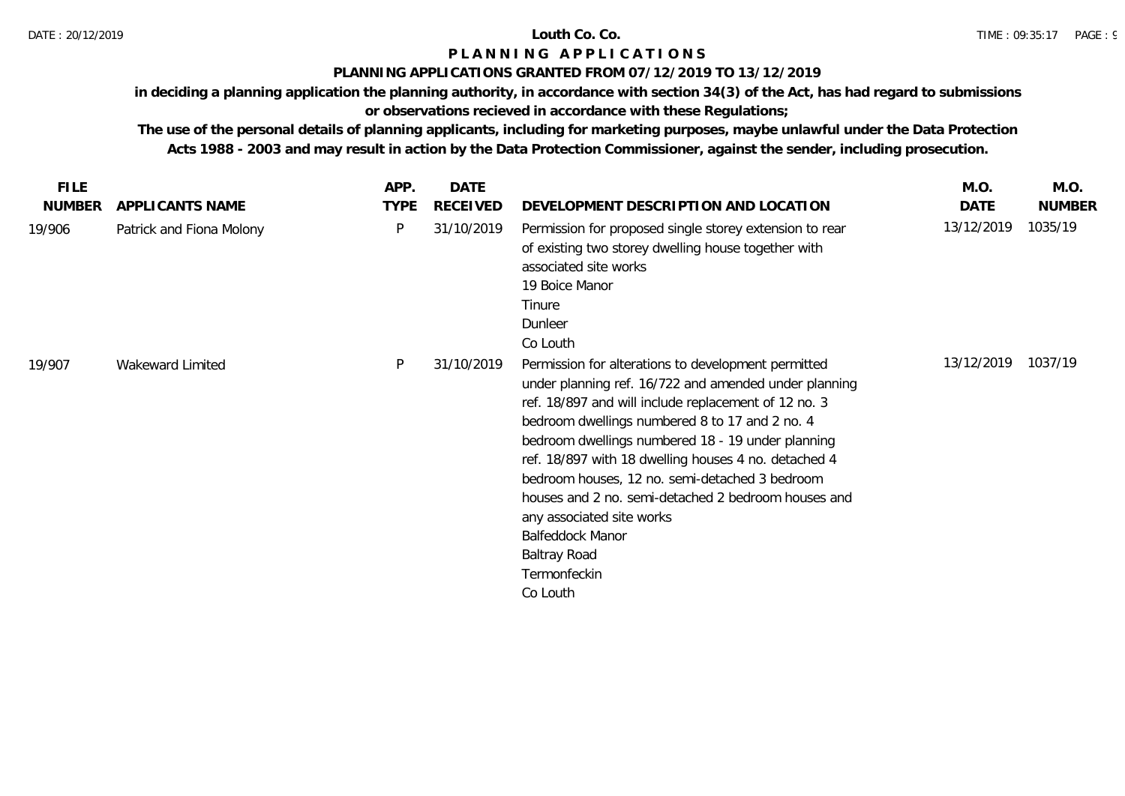## **PLANNING APPLICATIONS GRANTED FROM 07/12/2019 TO 13/12/2019**

**in deciding a planning application the planning authority, in accordance with section 34(3) of the Act, has had regard to submissions** 

# **or observations recieved in accordance with these Regulations;**

| <b>FILE</b>   |                          | APP.        | <b>DATE</b> |                                                                                                                                                                                                                                                                                                                                                                                                                                                                                                                                                  | M.O.       | M.O.          |
|---------------|--------------------------|-------------|-------------|--------------------------------------------------------------------------------------------------------------------------------------------------------------------------------------------------------------------------------------------------------------------------------------------------------------------------------------------------------------------------------------------------------------------------------------------------------------------------------------------------------------------------------------------------|------------|---------------|
| <b>NUMBER</b> | APPLICANTS NAME          | <b>TYPE</b> | RECEIVED    | DEVELOPMENT DESCRIPTION AND LOCATION                                                                                                                                                                                                                                                                                                                                                                                                                                                                                                             | DATE       | <b>NUMBER</b> |
| 19/906        | Patrick and Fiona Molony | P           | 31/10/2019  | Permission for proposed single storey extension to rear<br>of existing two storey dwelling house together with<br>associated site works<br>19 Boice Manor<br>Tinure<br>Dunleer<br>Co Louth                                                                                                                                                                                                                                                                                                                                                       | 13/12/2019 | 1035/19       |
| 19/907        | Wakeward Limited         | P           | 31/10/2019  | Permission for alterations to development permitted<br>under planning ref. 16/722 and amended under planning<br>ref. 18/897 and will include replacement of 12 no. 3<br>bedroom dwellings numbered 8 to 17 and 2 no. 4<br>bedroom dwellings numbered 18 - 19 under planning<br>ref. 18/897 with 18 dwelling houses 4 no. detached 4<br>bedroom houses, 12 no. semi-detached 3 bedroom<br>houses and 2 no. semi-detached 2 bedroom houses and<br>any associated site works<br>Balfeddock Manor<br><b>Baltray Road</b><br>Termonfeckin<br>Co Louth | 13/12/2019 | 1037/19       |